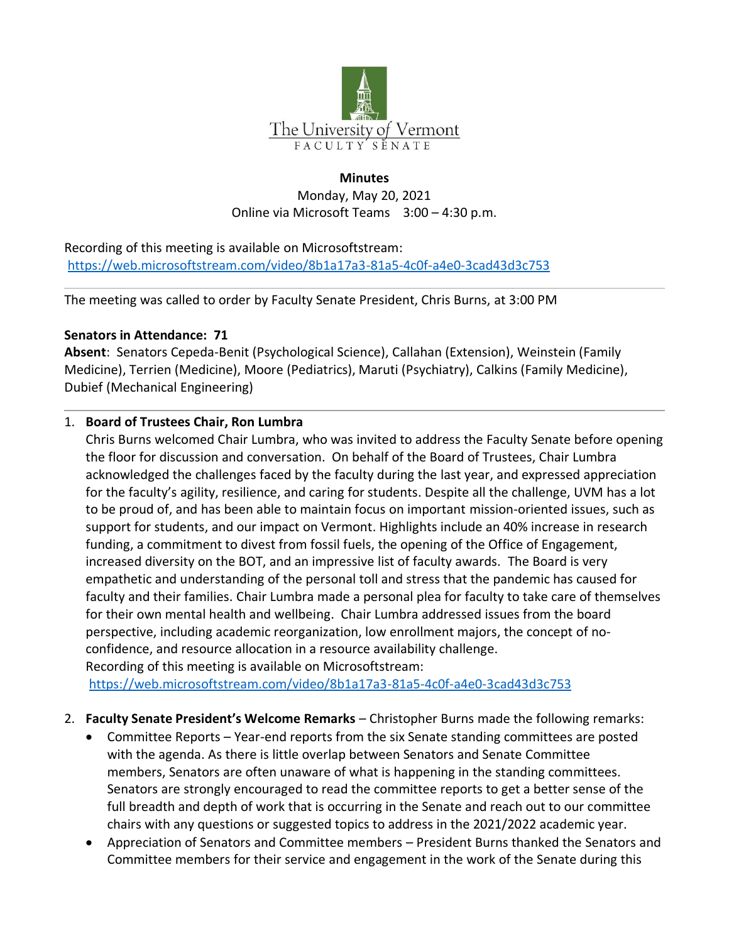

### **Minutes**

Monday, May 20, 2021 Online via Microsoft Teams 3:00 – 4:30 p.m.

Recording of this meeting is available on Microsoftstream: <https://web.microsoftstream.com/video/8b1a17a3-81a5-4c0f-a4e0-3cad43d3c753>

The meeting was called to order by Faculty Senate President, Chris Burns, at 3:00 PM

## **Senators in Attendance: 71**

**Absent**: Senators Cepeda-Benit (Psychological Science), Callahan (Extension), Weinstein (Family Medicine), Terrien (Medicine), Moore (Pediatrics), Maruti (Psychiatry), Calkins (Family Medicine), Dubief (Mechanical Engineering)

## 1. **Board of Trustees Chair, Ron Lumbra**

Chris Burns welcomed Chair Lumbra, who was invited to address the Faculty Senate before opening the floor for discussion and conversation. On behalf of the Board of Trustees, Chair Lumbra acknowledged the challenges faced by the faculty during the last year, and expressed appreciation for the faculty's agility, resilience, and caring for students. Despite all the challenge, UVM has a lot to be proud of, and has been able to maintain focus on important mission-oriented issues, such as support for students, and our impact on Vermont. Highlights include an 40% increase in research funding, a commitment to divest from fossil fuels, the opening of the Office of Engagement, increased diversity on the BOT, and an impressive list of faculty awards. The Board is very empathetic and understanding of the personal toll and stress that the pandemic has caused for faculty and their families. Chair Lumbra made a personal plea for faculty to take care of themselves for their own mental health and wellbeing. Chair Lumbra addressed issues from the board perspective, including academic reorganization, low enrollment majors, the concept of noconfidence, and resource allocation in a resource availability challenge.

Recording of this meeting is available on Microsoftstream: <https://web.microsoftstream.com/video/8b1a17a3-81a5-4c0f-a4e0-3cad43d3c753>

- 2. **Faculty Senate President's Welcome Remarks** Christopher Burns made the following remarks:
	- Committee Reports Year-end reports from the six Senate standing committees are posted with the agenda. As there is little overlap between Senators and Senate Committee members, Senators are often unaware of what is happening in the standing committees. Senators are strongly encouraged to read the committee reports to get a better sense of the full breadth and depth of work that is occurring in the Senate and reach out to our committee chairs with any questions or suggested topics to address in the 2021/2022 academic year.
	- Appreciation of Senators and Committee members President Burns thanked the Senators and Committee members for their service and engagement in the work of the Senate during this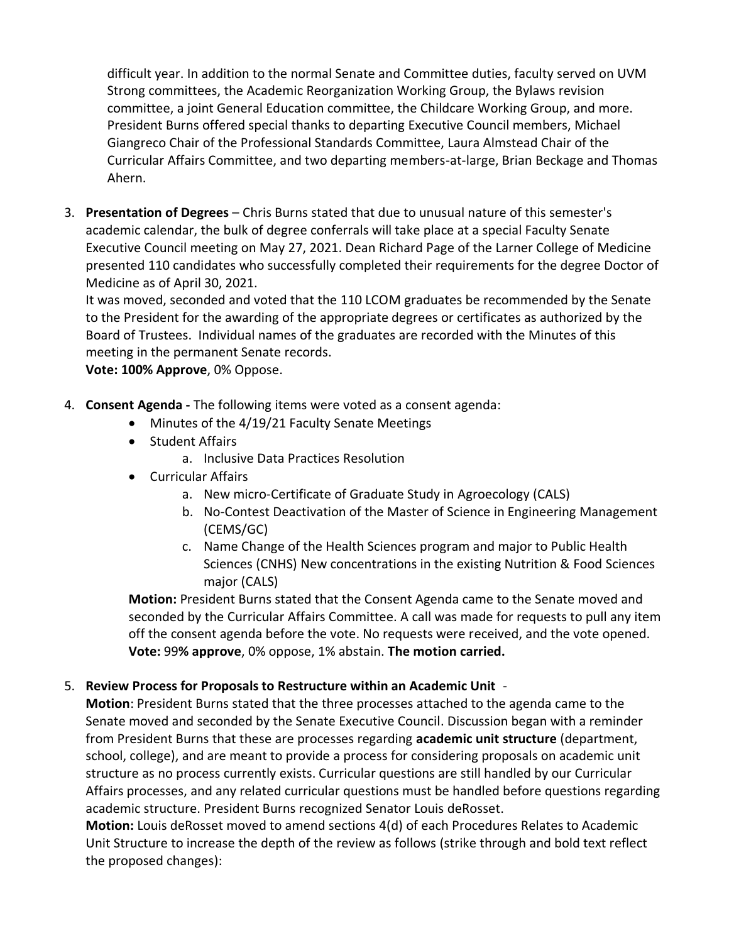difficult year. In addition to the normal Senate and Committee duties, faculty served on UVM Strong committees, the Academic Reorganization Working Group, the Bylaws revision committee, a joint General Education committee, the Childcare Working Group, and more. President Burns offered special thanks to departing Executive Council members, Michael Giangreco Chair of the Professional Standards Committee, Laura Almstead Chair of the Curricular Affairs Committee, and two departing members-at-large, Brian Beckage and Thomas Ahern.

3. **Presentation of Degrees** – Chris Burns stated that due to unusual nature of this semester's academic calendar, the bulk of degree conferrals will take place at a special Faculty Senate Executive Council meeting on May 27, 2021. Dean Richard Page of the Larner College of Medicine presented 110 candidates who successfully completed their requirements for the degree Doctor of Medicine as of April 30, 2021.

It was moved, seconded and voted that the 110 LCOM graduates be recommended by the Senate to the President for the awarding of the appropriate degrees or certificates as authorized by the Board of Trustees. Individual names of the graduates are recorded with the Minutes of this meeting in the permanent Senate records.

**Vote: 100% Approve**, 0% Oppose.

- 4. **Consent Agenda -** The following items were voted as a consent agenda:
	- Minutes of the 4/19/21 Faculty Senate Meetings
	- Student Affairs
		- a. Inclusive Data Practices Resolution
	- Curricular Affairs
		- a. New micro-Certificate of Graduate Study in Agroecology (CALS)
		- b. No-Contest Deactivation of the Master of Science in Engineering Management (CEMS/GC)
		- c. Name Change of the Health Sciences program and major to Public Health Sciences (CNHS) New concentrations in the existing Nutrition & Food Sciences major (CALS)

**Motion:** President Burns stated that the Consent Agenda came to the Senate moved and seconded by the Curricular Affairs Committee. A call was made for requests to pull any item off the consent agenda before the vote. No requests were received, and the vote opened. **Vote:** 99**% approve**, 0% oppose, 1% abstain. **The motion carried.**

## 5. **Review Process for Proposals to Restructure within an Academic Unit** -

**Motion**: President Burns stated that the three processes attached to the agenda came to the Senate moved and seconded by the Senate Executive Council. Discussion began with a reminder from President Burns that these are processes regarding **academic unit structure** (department, school, college), and are meant to provide a process for considering proposals on academic unit structure as no process currently exists. Curricular questions are still handled by our Curricular Affairs processes, and any related curricular questions must be handled before questions regarding academic structure. President Burns recognized Senator Louis deRosset.

**Motion:** Louis deRosset moved to amend sections 4(d) of each Procedures Relates to Academic Unit Structure to increase the depth of the review as follows (strike through and bold text reflect the proposed changes):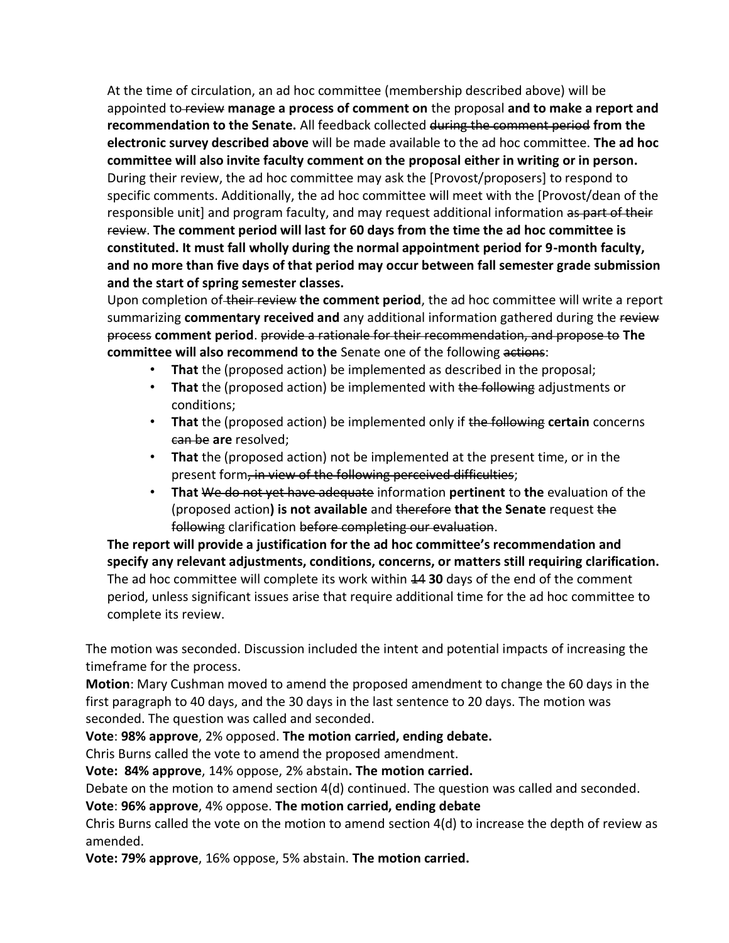At the time of circulation, an ad hoc committee (membership described above) will be appointed to review **manage a process of comment on** the proposal **and to make a report and recommendation to the Senate.** All feedback collected during the comment period **from the electronic survey described above** will be made available to the ad hoc committee. **The ad hoc committee will also invite faculty comment on the proposal either in writing or in person.**  During their review, the ad hoc committee may ask the [Provost/proposers] to respond to specific comments. Additionally, the ad hoc committee will meet with the [Provost/dean of the responsible unit] and program faculty, and may request additional information as part of their review. **The comment period will last for 60 days from the time the ad hoc committee is constituted. It must fall wholly during the normal appointment period for 9-month faculty, and no more than five days of that period may occur between fall semester grade submission and the start of spring semester classes.** 

Upon completion of their review **the comment period**, the ad hoc committee will write a report summarizing **commentary received and** any additional information gathered during the review process **comment period**. provide a rationale for their recommendation, and propose to **The committee will also recommend to the** Senate one of the following actions:

- **That** the (proposed action) be implemented as described in the proposal;
- **That** the (proposed action) be implemented with the following adjustments or conditions;
- **That** the (proposed action) be implemented only if the following **certain** concerns can be **are** resolved;
- **That** the (proposed action) not be implemented at the present time, or in the present form, in view of the following perceived difficulties;
- **That** We do not yet have adequate information **pertinent** to **the** evaluation of the (proposed action**) is not available** and therefore **that the Senate** request the following clarification before completing our evaluation.

**The report will provide a justification for the ad hoc committee's recommendation and specify any relevant adjustments, conditions, concerns, or matters still requiring clarification.**  The ad hoc committee will complete its work within 14 **30** days of the end of the comment period, unless significant issues arise that require additional time for the ad hoc committee to complete its review.

The motion was seconded. Discussion included the intent and potential impacts of increasing the timeframe for the process.

**Motion**: Mary Cushman moved to amend the proposed amendment to change the 60 days in the first paragraph to 40 days, and the 30 days in the last sentence to 20 days. The motion was seconded. The question was called and seconded.

## **Vote**: **98% approve**, 2% opposed. **The motion carried, ending debate.**

Chris Burns called the vote to amend the proposed amendment.

**Vote: 84% approve**, 14% oppose, 2% abstain**. The motion carried.**

Debate on the motion to amend section 4(d) continued. The question was called and seconded.

### **Vote**: **96% approve**, 4% oppose. **The motion carried, ending debate**

Chris Burns called the vote on the motion to amend section 4(d) to increase the depth of review as amended.

**Vote: 79% approve**, 16% oppose, 5% abstain. **The motion carried.**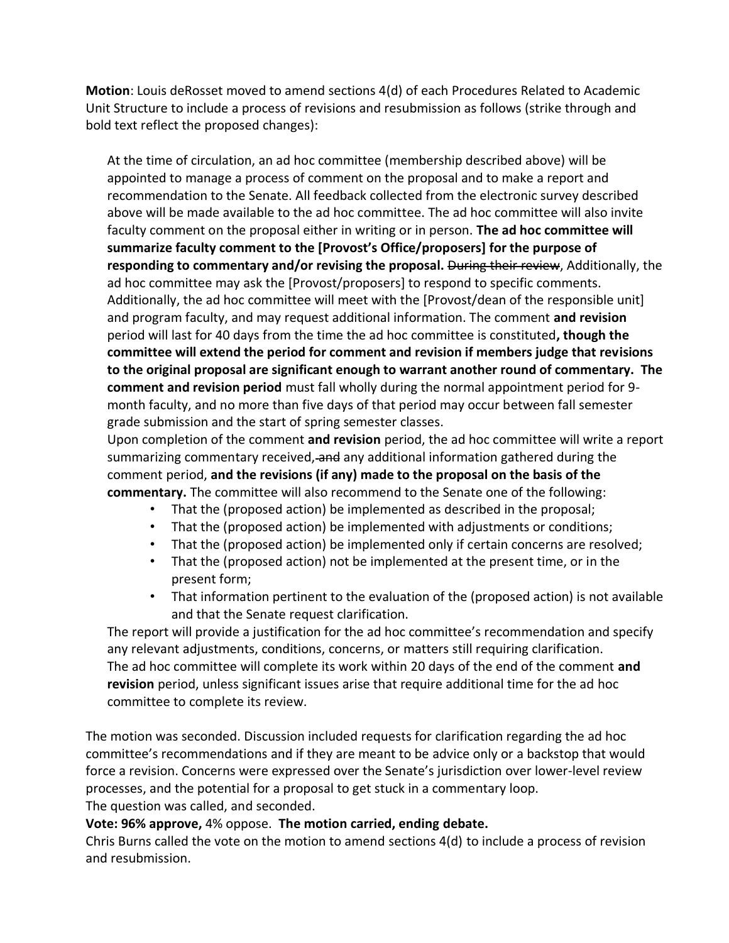**Motion**: Louis deRosset moved to amend sections 4(d) of each Procedures Related to Academic Unit Structure to include a process of revisions and resubmission as follows (strike through and bold text reflect the proposed changes):

At the time of circulation, an ad hoc committee (membership described above) will be appointed to manage a process of comment on the proposal and to make a report and recommendation to the Senate. All feedback collected from the electronic survey described above will be made available to the ad hoc committee. The ad hoc committee will also invite faculty comment on the proposal either in writing or in person. **The ad hoc committee will summarize faculty comment to the [Provost's Office/proposers] for the purpose of responding to commentary and/or revising the proposal.** During their review, Additionally, the ad hoc committee may ask the [Provost/proposers] to respond to specific comments. Additionally, the ad hoc committee will meet with the [Provost/dean of the responsible unit] and program faculty, and may request additional information. The comment **and revision**  period will last for 40 days from the time the ad hoc committee is constituted**, though the committee will extend the period for comment and revision if members judge that revisions to the original proposal are significant enough to warrant another round of commentary. The comment and revision period** must fall wholly during the normal appointment period for 9 month faculty, and no more than five days of that period may occur between fall semester grade submission and the start of spring semester classes.

Upon completion of the comment **and revision** period, the ad hoc committee will write a report summarizing commentary received, and any additional information gathered during the comment period, **and the revisions (if any) made to the proposal on the basis of the commentary.** The committee will also recommend to the Senate one of the following:

- That the (proposed action) be implemented as described in the proposal;
- That the (proposed action) be implemented with adjustments or conditions;
- That the (proposed action) be implemented only if certain concerns are resolved;
- That the (proposed action) not be implemented at the present time, or in the present form;
- That information pertinent to the evaluation of the (proposed action) is not available and that the Senate request clarification.

The report will provide a justification for the ad hoc committee's recommendation and specify any relevant adjustments, conditions, concerns, or matters still requiring clarification. The ad hoc committee will complete its work within 20 days of the end of the comment **and revision** period, unless significant issues arise that require additional time for the ad hoc committee to complete its review.

The motion was seconded. Discussion included requests for clarification regarding the ad hoc committee's recommendations and if they are meant to be advice only or a backstop that would force a revision. Concerns were expressed over the Senate's jurisdiction over lower-level review processes, and the potential for a proposal to get stuck in a commentary loop. The question was called, and seconded.

**Vote: 96% approve,** 4% oppose. **The motion carried, ending debate.**

Chris Burns called the vote on the motion to amend sections 4(d) to include a process of revision and resubmission.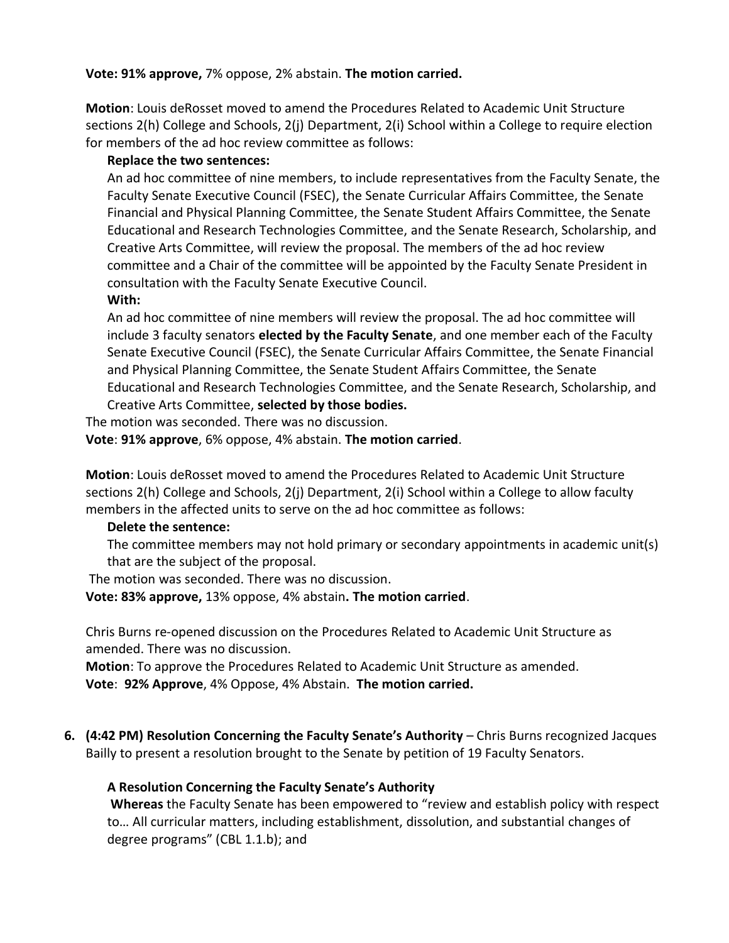**Vote: 91% approve,** 7% oppose, 2% abstain. **The motion carried.**

**Motion**: Louis deRosset moved to amend the Procedures Related to Academic Unit Structure sections 2(h) College and Schools, 2(j) Department, 2(i) School within a College to require election for members of the ad hoc review committee as follows:

# **Replace the two sentences:**

An ad hoc committee of nine members, to include representatives from the Faculty Senate, the Faculty Senate Executive Council (FSEC), the Senate Curricular Affairs Committee, the Senate Financial and Physical Planning Committee, the Senate Student Affairs Committee, the Senate Educational and Research Technologies Committee, and the Senate Research, Scholarship, and Creative Arts Committee, will review the proposal. The members of the ad hoc review committee and a Chair of the committee will be appointed by the Faculty Senate President in consultation with the Faculty Senate Executive Council.

## **With:**

An ad hoc committee of nine members will review the proposal. The ad hoc committee will include 3 faculty senators **elected by the Faculty Senate**, and one member each of the Faculty Senate Executive Council (FSEC), the Senate Curricular Affairs Committee, the Senate Financial and Physical Planning Committee, the Senate Student Affairs Committee, the Senate Educational and Research Technologies Committee, and the Senate Research, Scholarship, and Creative Arts Committee, **selected by those bodies.**

The motion was seconded. There was no discussion. **Vote**: **91% approve**, 6% oppose, 4% abstain. **The motion carried**.

**Motion**: Louis deRosset moved to amend the Procedures Related to Academic Unit Structure sections 2(h) College and Schools, 2(j) Department, 2(i) School within a College to allow faculty members in the affected units to serve on the ad hoc committee as follows:

### **Delete the sentence:**

The committee members may not hold primary or secondary appointments in academic unit(s) that are the subject of the proposal.

The motion was seconded. There was no discussion.

**Vote: 83% approve,** 13% oppose, 4% abstain**. The motion carried**.

Chris Burns re-opened discussion on the Procedures Related to Academic Unit Structure as amended. There was no discussion.

**Motion**: To approve the Procedures Related to Academic Unit Structure as amended. **Vote**: **92% Approve**, 4% Oppose, 4% Abstain. **The motion carried.**

**6. (4:42 PM) Resolution Concerning the Faculty Senate's Authority** – Chris Burns recognized Jacques Bailly to present a resolution brought to the Senate by petition of 19 Faculty Senators.

## **A Resolution Concerning the Faculty Senate's Authority**

**Whereas** the Faculty Senate has been empowered to "review and establish policy with respect to… All curricular matters, including establishment, dissolution, and substantial changes of degree programs" (CBL 1.1.b); and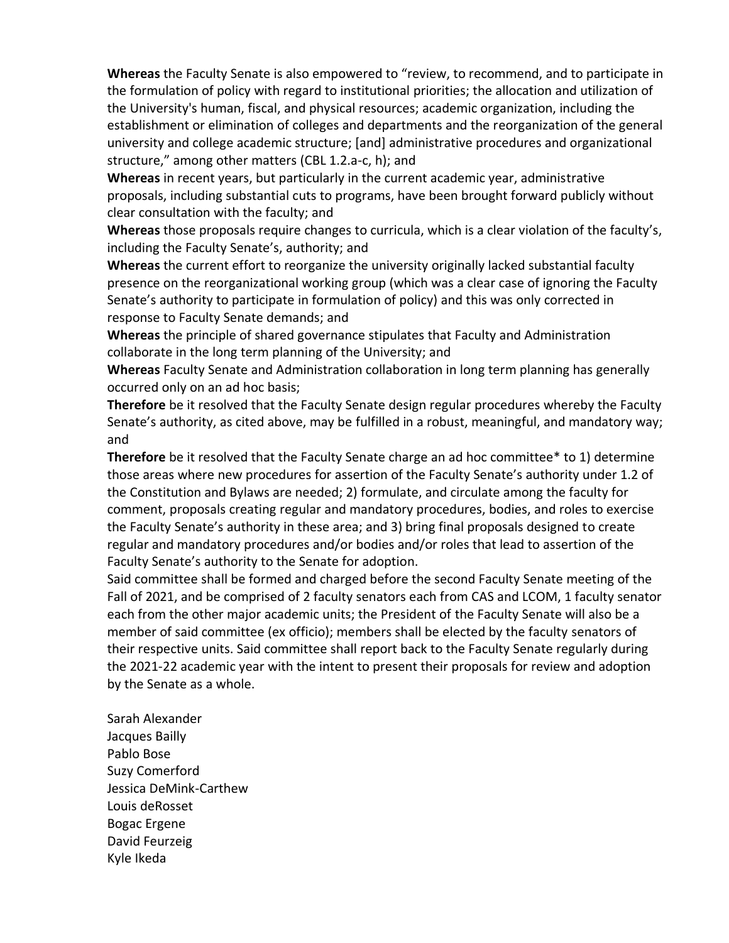**Whereas** the Faculty Senate is also empowered to "review, to recommend, and to participate in the formulation of policy with regard to institutional priorities; the allocation and utilization of the University's human, fiscal, and physical resources; academic organization, including the establishment or elimination of colleges and departments and the reorganization of the general university and college academic structure; [and] administrative procedures and organizational structure," among other matters (CBL 1.2.a-c, h); and

**Whereas** in recent years, but particularly in the current academic year, administrative proposals, including substantial cuts to programs, have been brought forward publicly without clear consultation with the faculty; and

**Whereas** those proposals require changes to curricula, which is a clear violation of the faculty's, including the Faculty Senate's, authority; and

**Whereas** the current effort to reorganize the university originally lacked substantial faculty presence on the reorganizational working group (which was a clear case of ignoring the Faculty Senate's authority to participate in formulation of policy) and this was only corrected in response to Faculty Senate demands; and

**Whereas** the principle of shared governance stipulates that Faculty and Administration collaborate in the long term planning of the University; and

**Whereas** Faculty Senate and Administration collaboration in long term planning has generally occurred only on an ad hoc basis;

**Therefore** be it resolved that the Faculty Senate design regular procedures whereby the Faculty Senate's authority, as cited above, may be fulfilled in a robust, meaningful, and mandatory way; and

**Therefore** be it resolved that the Faculty Senate charge an ad hoc committee\* to 1) determine those areas where new procedures for assertion of the Faculty Senate's authority under 1.2 of the Constitution and Bylaws are needed; 2) formulate, and circulate among the faculty for comment, proposals creating regular and mandatory procedures, bodies, and roles to exercise the Faculty Senate's authority in these area; and 3) bring final proposals designed to create regular and mandatory procedures and/or bodies and/or roles that lead to assertion of the Faculty Senate's authority to the Senate for adoption.

Said committee shall be formed and charged before the second Faculty Senate meeting of the Fall of 2021, and be comprised of 2 faculty senators each from CAS and LCOM, 1 faculty senator each from the other major academic units; the President of the Faculty Senate will also be a member of said committee (ex officio); members shall be elected by the faculty senators of their respective units. Said committee shall report back to the Faculty Senate regularly during the 2021-22 academic year with the intent to present their proposals for review and adoption by the Senate as a whole.

Sarah Alexander Jacques Bailly Pablo Bose Suzy Comerford Jessica DeMink-Carthew Louis deRosset Bogac Ergene David Feurzeig Kyle Ikeda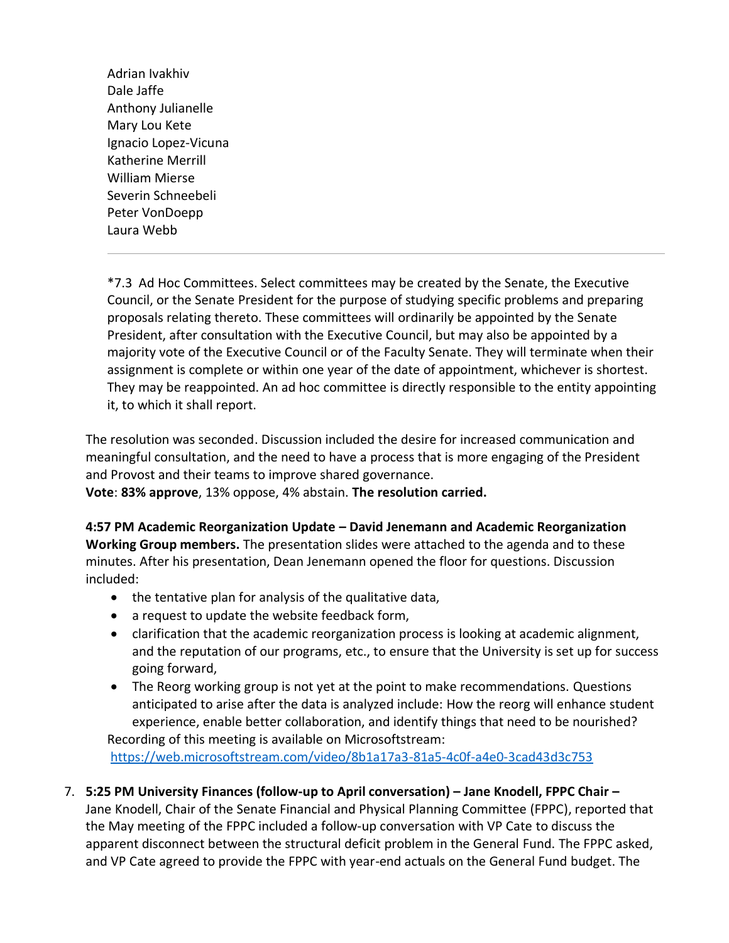Adrian Ivakhiv Dale Jaffe Anthony Julianelle Mary Lou Kete Ignacio Lopez-Vicuna Katherine Merrill William Mierse Severin Schneebeli Peter VonDoepp Laura Webb

\*7.3 Ad Hoc Committees. Select committees may be created by the Senate, the Executive Council, or the Senate President for the purpose of studying specific problems and preparing proposals relating thereto. These committees will ordinarily be appointed by the Senate President, after consultation with the Executive Council, but may also be appointed by a majority vote of the Executive Council or of the Faculty Senate. They will terminate when their assignment is complete or within one year of the date of appointment, whichever is shortest. They may be reappointed. An ad hoc committee is directly responsible to the entity appointing it, to which it shall report.

The resolution was seconded. Discussion included the desire for increased communication and meaningful consultation, and the need to have a process that is more engaging of the President and Provost and their teams to improve shared governance.

**Vote**: **83% approve**, 13% oppose, 4% abstain. **The resolution carried.**

**4:57 PM Academic Reorganization Update – David Jenemann and Academic Reorganization Working Group members.** The presentation slides were attached to the agenda and to these minutes. After his presentation, Dean Jenemann opened the floor for questions. Discussion included:

- the tentative plan for analysis of the qualitative data,
- a request to update the website feedback form,
- clarification that the academic reorganization process is looking at academic alignment, and the reputation of our programs, etc., to ensure that the University is set up for success going forward,
- The Reorg working group is not yet at the point to make recommendations. Questions anticipated to arise after the data is analyzed include: How the reorg will enhance student experience, enable better collaboration, and identify things that need to be nourished? Recording of this meeting is available on Microsoftstream:

<https://web.microsoftstream.com/video/8b1a17a3-81a5-4c0f-a4e0-3cad43d3c753>

7. **5:25 PM University Finances (follow-up to April conversation) – Jane Knodell, FPPC Chair –** Jane Knodell, Chair of the Senate Financial and Physical Planning Committee (FPPC), reported that the May meeting of the FPPC included a follow-up conversation with VP Cate to discuss the apparent disconnect between the structural deficit problem in the General Fund. The FPPC asked, and VP Cate agreed to provide the FPPC with year-end actuals on the General Fund budget. The